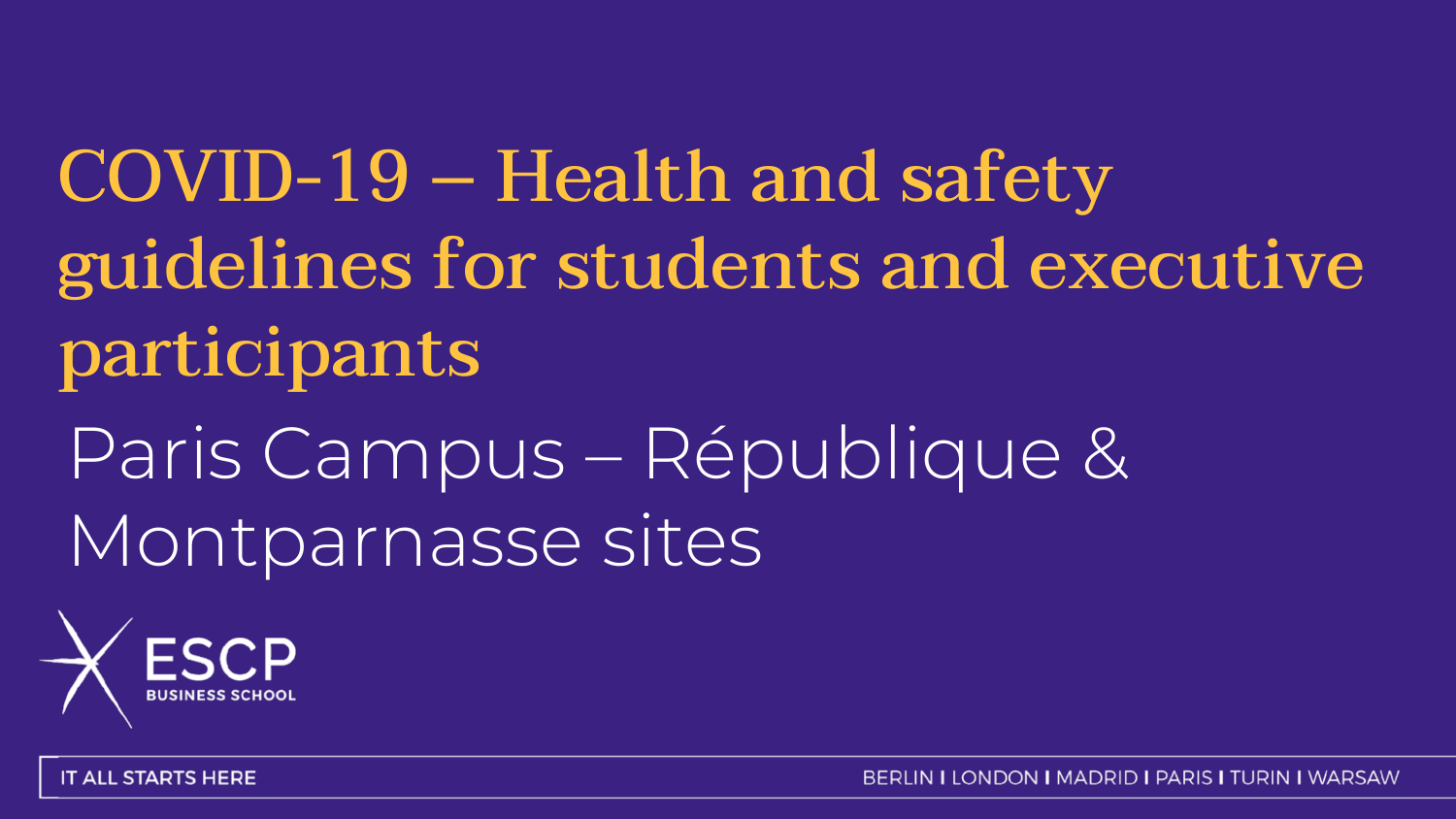COVID-19 – Health and safety guidelines for students and executive participants

Paris Campus – République & Montparnasse sites

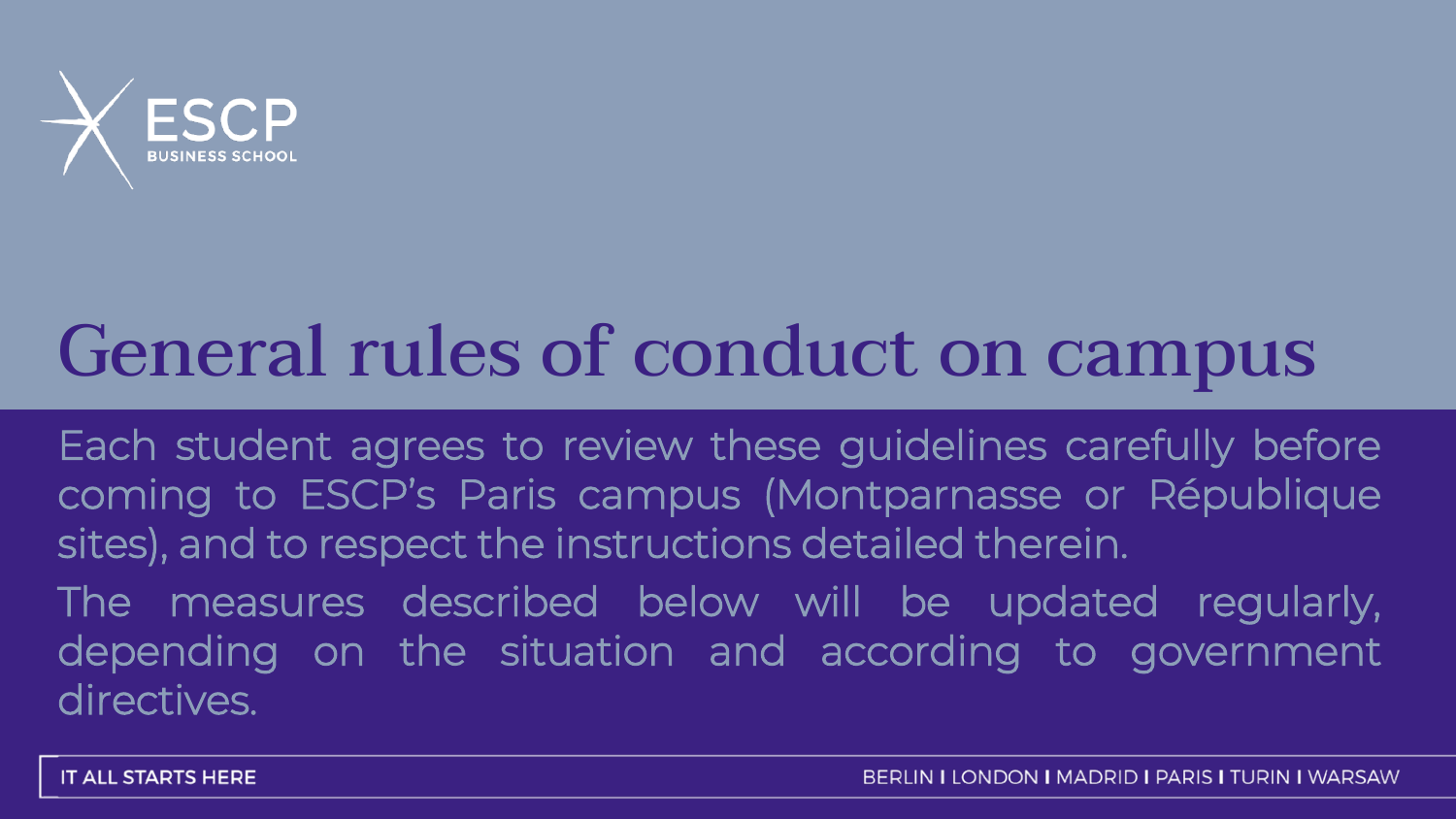

# General rules of conduct on campus

Each student agrees to review these guidelines carefully before coming to ESCP's Paris campus (Montparnasse or République sites), and to respect the instructions detailed therein.

The measures described below will be updated regularly, depending on the situation and according to government directives.

**IT ALL STARTS HERE**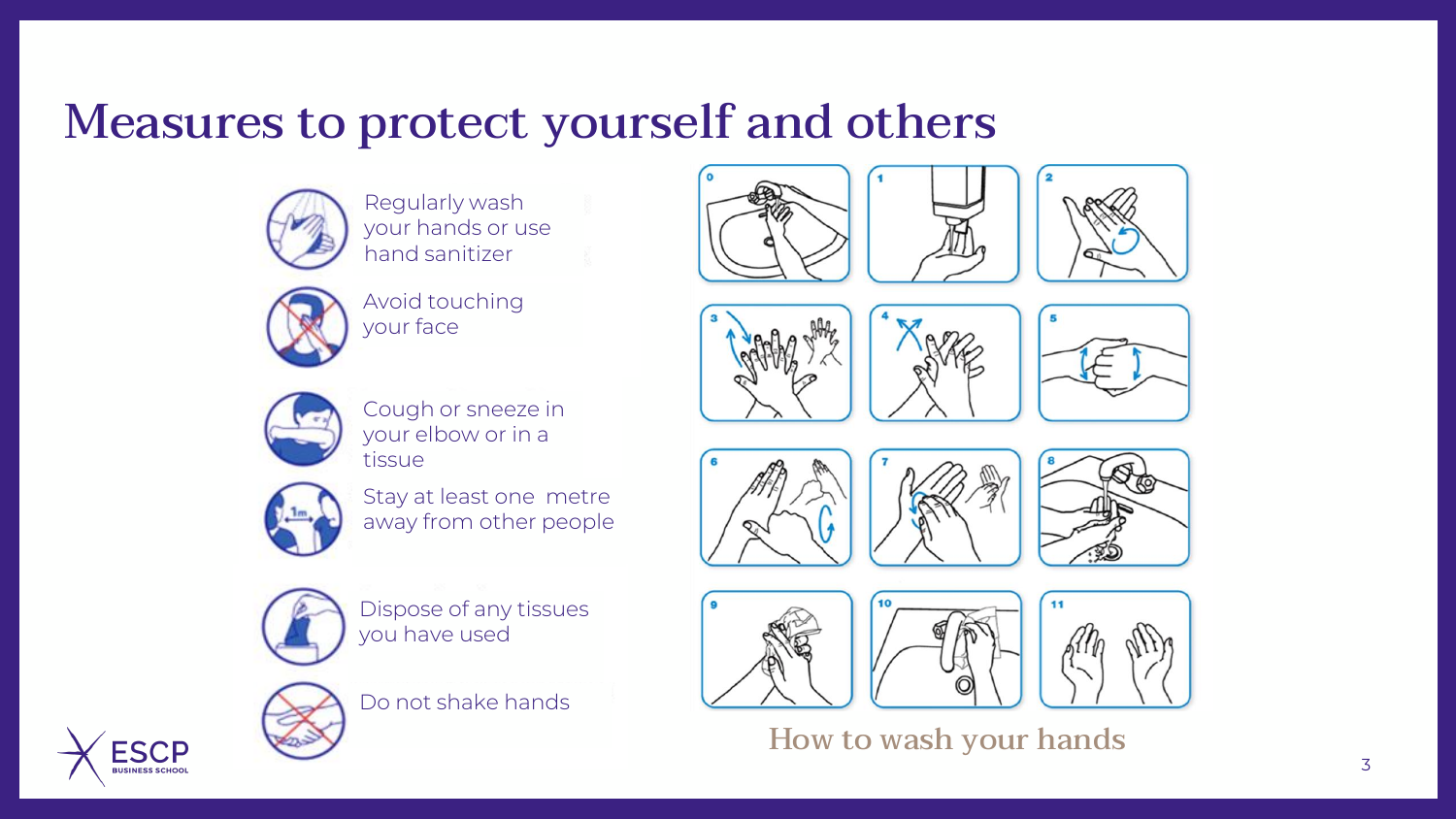### Measures to protect yourself and others



Regularly wash your hands or use hand sanitizer



Avoid touching your face



Cough or sneeze in your elbow or in a tissue



Stay at least one metre away from other people



Dispose of any tissues you have used



**BUSINESS SCHOO** 

Do not shake hands



















How to wash your hands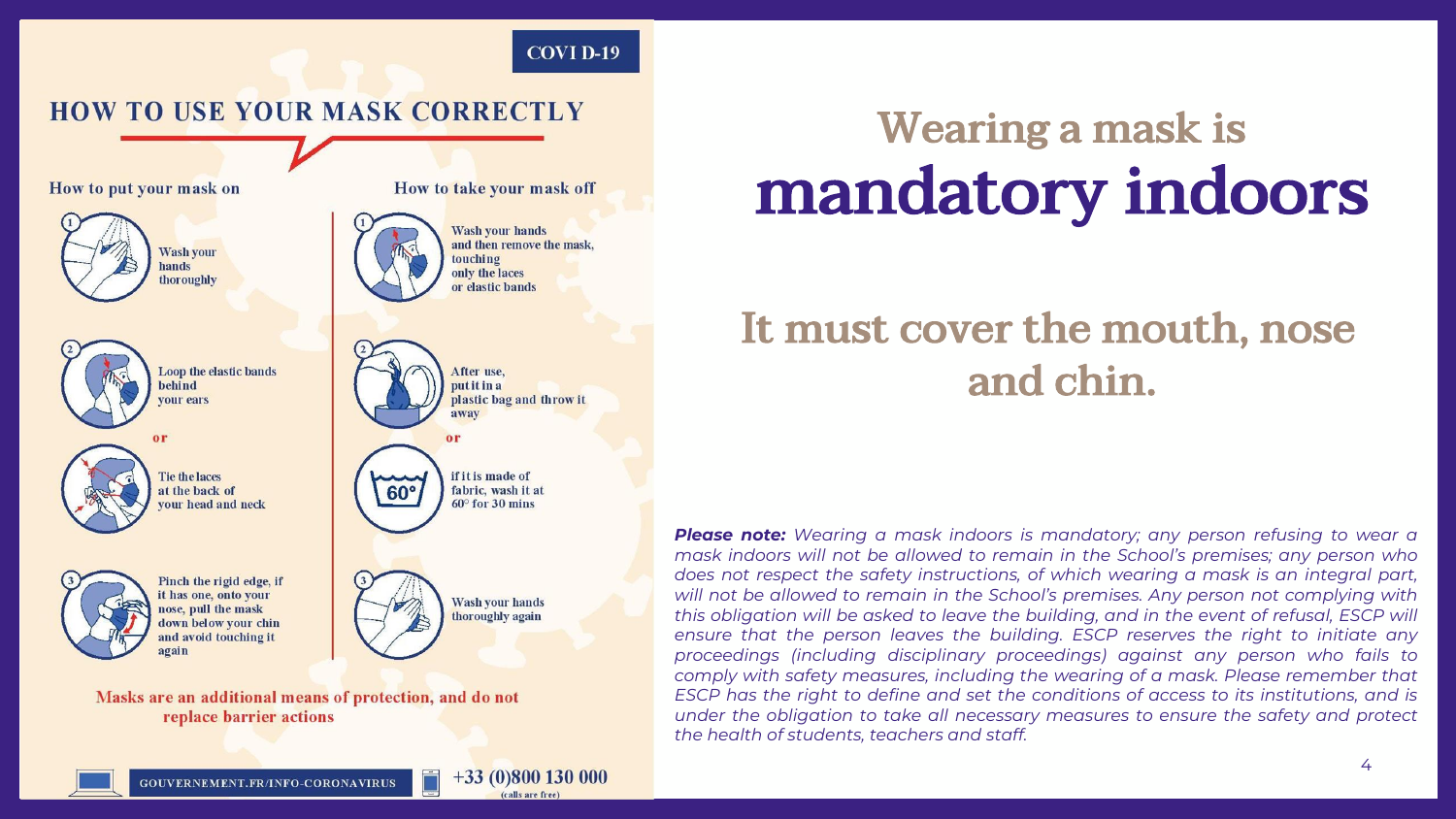**COVID-19** 

How to take your mask off

Wash your hands and then remove the mask.

touching

After use,

put it in a

 $+33(0)800130000$ 

(calls are free)

only the laces

or elastic bands

#### **HOW TO USE YOUR MASK CORRECTLY**

How to put your mask on



**Wash your** thoroughly



Loop the elastic bands behind vour ears

Tie the laces at the back of

again

vour head and neck

Pinch the rigid edge, if it has one, onto your nose, pull the mask

> down below your chin and avoid touching it

plastic bag and throw it away or if it is made of  $60^\circ$ fabric, wash it at  $60^\circ$  for 30 mins **Wash your hands** thoroughly again

Masks are an additional means of protection, and do not replace barrier actions

# Wearing a mask is mandatory indoors

### It must cover the mouth, nose and chin.

*Please note: Wearing a mask indoors is mandatory; any person refusing to wear a mask indoors will not be allowed to remain in the School's premises; any person who does not respect the safety instructions, of which wearing a mask is an integral part, will not be allowed to remain in the School's premises. Any person not complying with this obligation will be asked to leave the building, and in the event of refusal, ESCP will ensure that the person leaves the building. ESCP reserves the right to initiate any proceedings (including disciplinary proceedings) against any person who fails to comply with safety measures, including the wearing of a mask. Please remember that ESCP has the right to define and set the conditions of access to its institutions, and is under the obligation to take all necessary measures to ensure the safety and protect the health of students, teachers and staff.*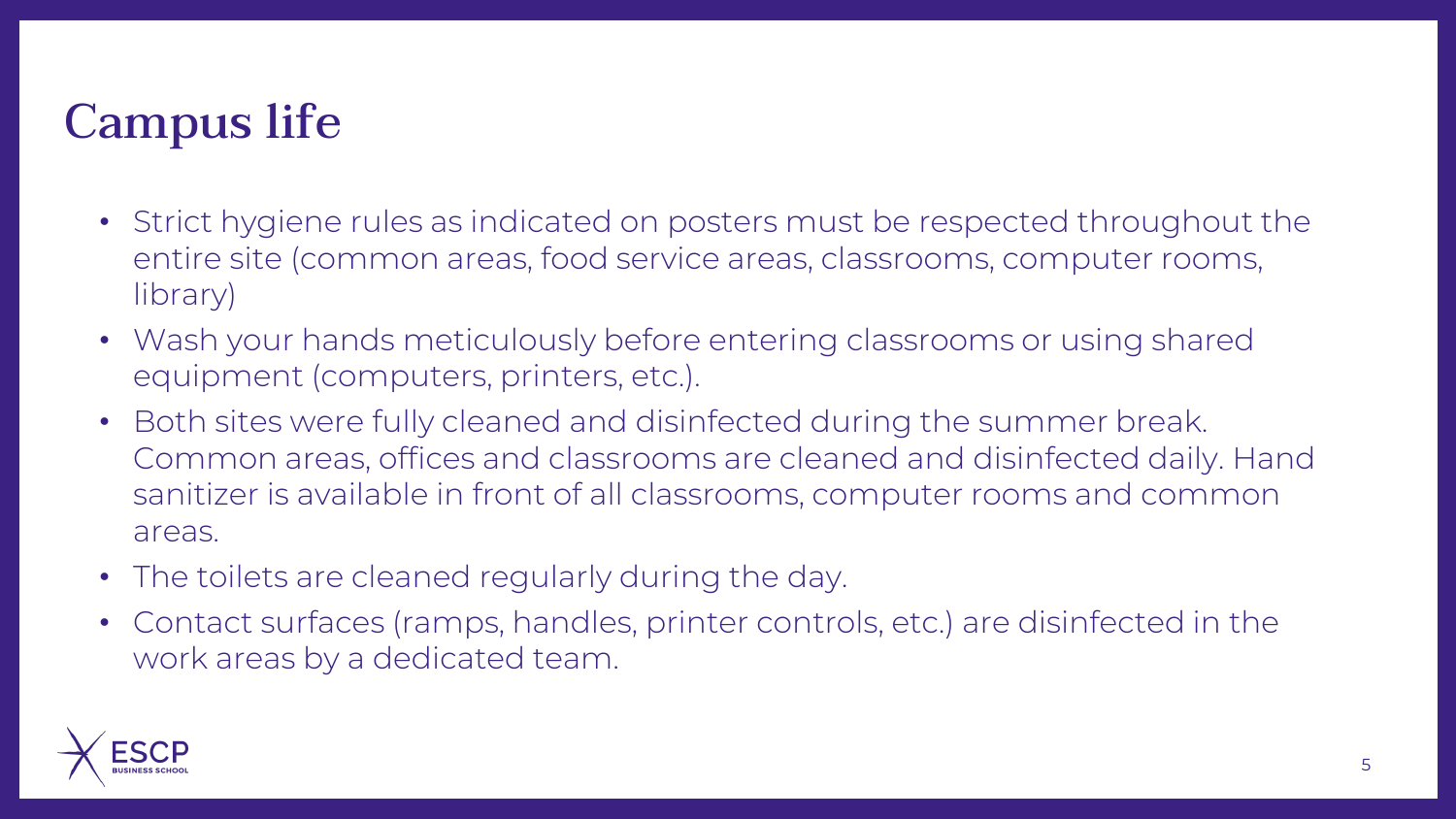## Campus life

- Strict hygiene rules as indicated on posters must be respected throughout the entire site (common areas, food service areas, classrooms, computer rooms, library)
- Wash your hands meticulously before entering classrooms or using shared equipment (computers, printers, etc.).
- Both sites were fully cleaned and disinfected during the summer break. Common areas, offices and classrooms are cleaned and disinfected daily. Hand sanitizer is available in front of all classrooms, computer rooms and common areas.
- The toilets are cleaned regularly during the day.
- Contact surfaces (ramps, handles, printer controls, etc.) are disinfected in the work areas by a dedicated team.

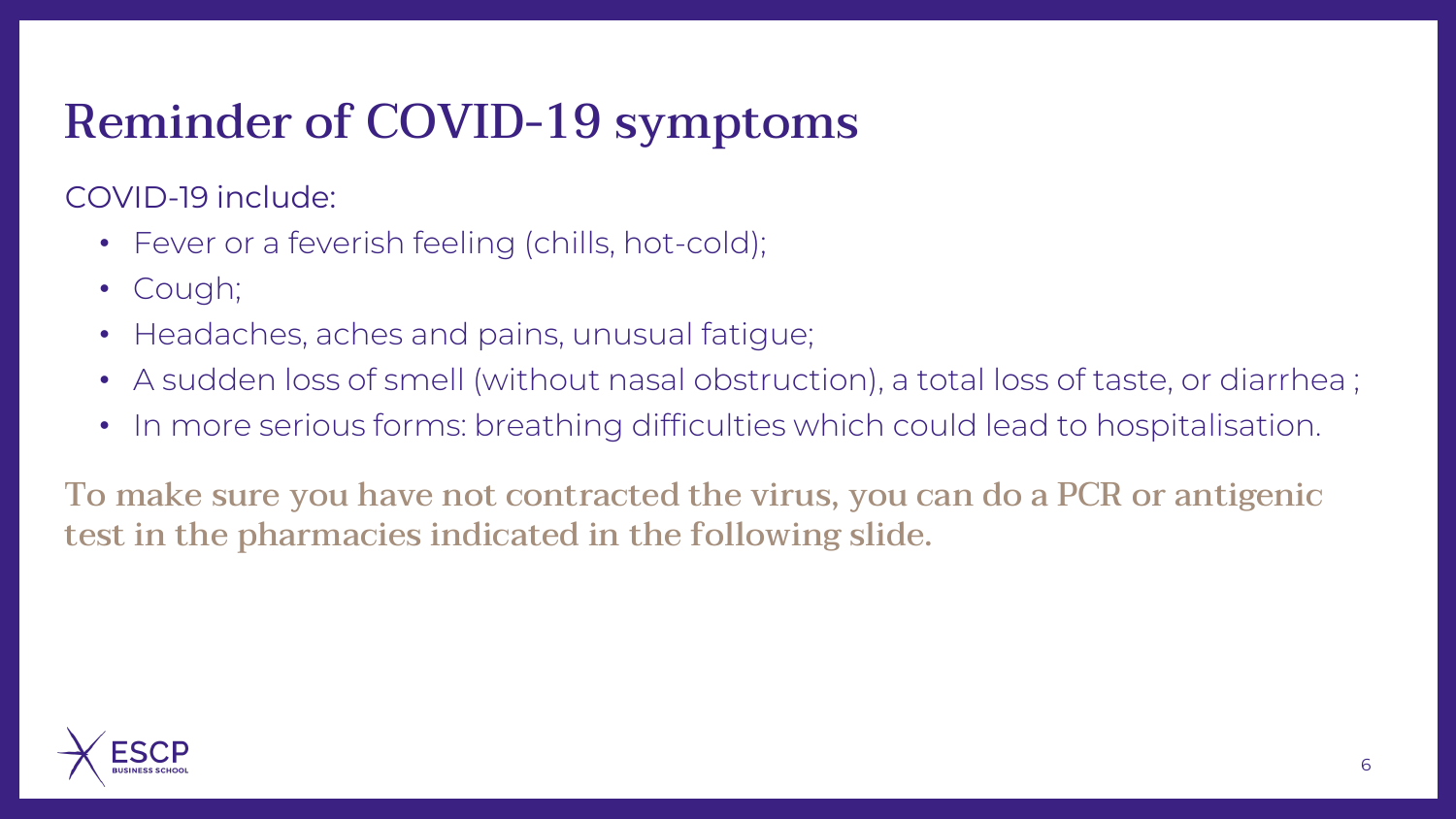## Reminder of COVID-19 symptoms

COVID-19 include:

- Fever or a feverish feeling (chills, hot-cold);
- Cough;
- Headaches, aches and pains, unusual fatigue;
- A sudden loss of smell (without nasal obstruction), a total loss of taste, or diarrhea ;
- In more serious forms: breathing difficulties which could lead to hospitalisation.

To make sure you have not contracted the virus, you can do a PCR or antigenic test in the pharmacies indicated in the following slide.

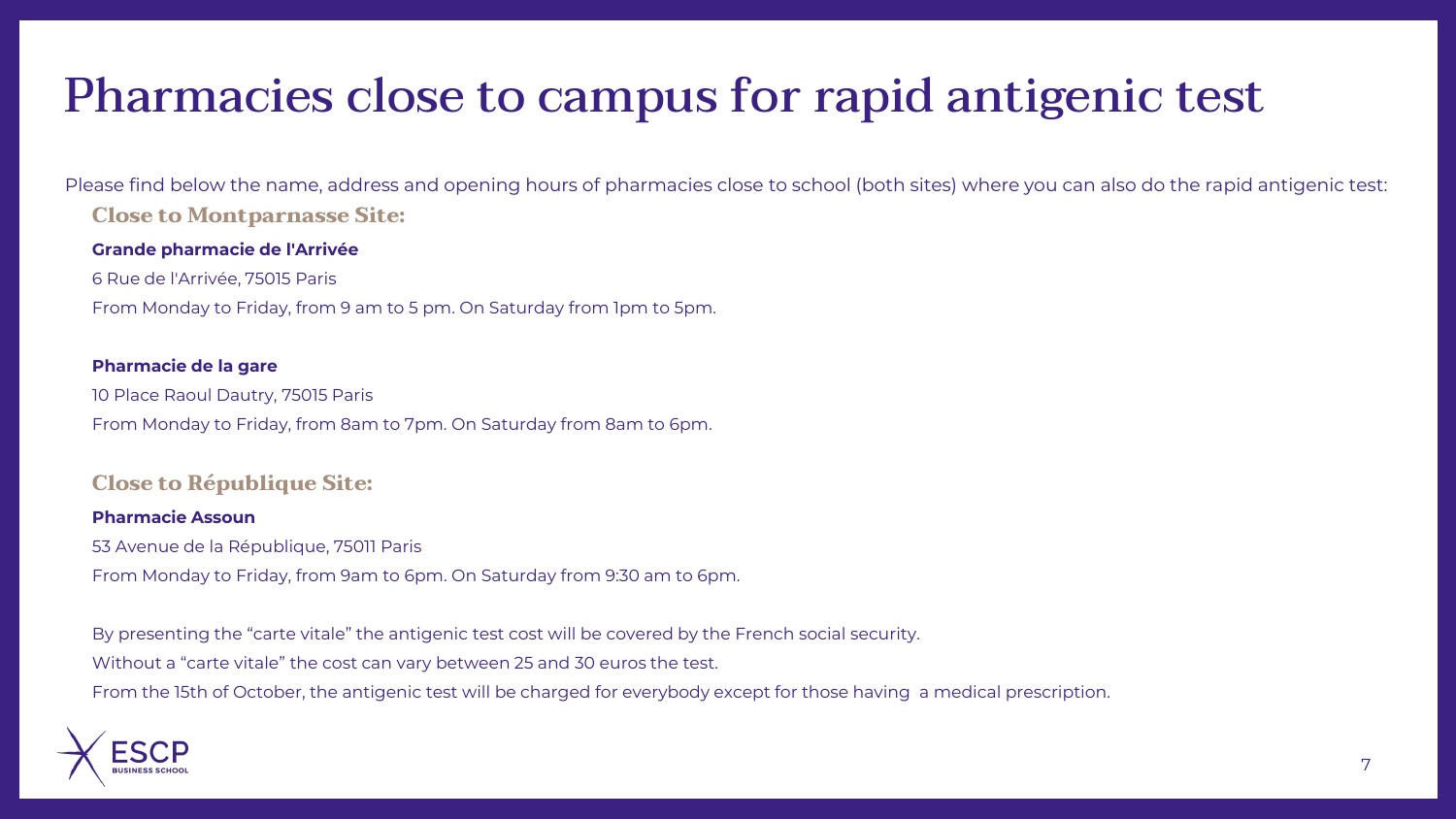### Pharmacies close to campus for rapid antigenic test

Please find below the name, address and opening hours of pharmacies close to school (both sites) where you can also do the rapid antigenic test: **Close to Montparnasse Site:**

#### **Grande pharmacie de l'Arrivée**

6 Rue de l'Arrivée, 75015 Paris

From Monday to Friday, from 9 am to 5 pm. On Saturday from 1pm to 5pm.

#### **Pharmacie de la gare**

10 Place Raoul Dautry, 75015 Paris From Monday to Friday, from 8am to 7pm. On Saturday from 8am to 6pm.

#### **Close to République Site:**

#### **Pharmacie Assoun**

53 Avenue de la République, 75011 Paris

From Monday to Friday, from 9am to 6pm. On Saturday from 9:30 am to 6pm.

By presenting the "carte vitale" the antigenic test cost will be covered by the French social security.

Without a "carte vitale" the cost can vary between 25 and 30 euros the test.

From the 15th of October, the antigenic test will be charged for everybody except for those having a medical prescription.

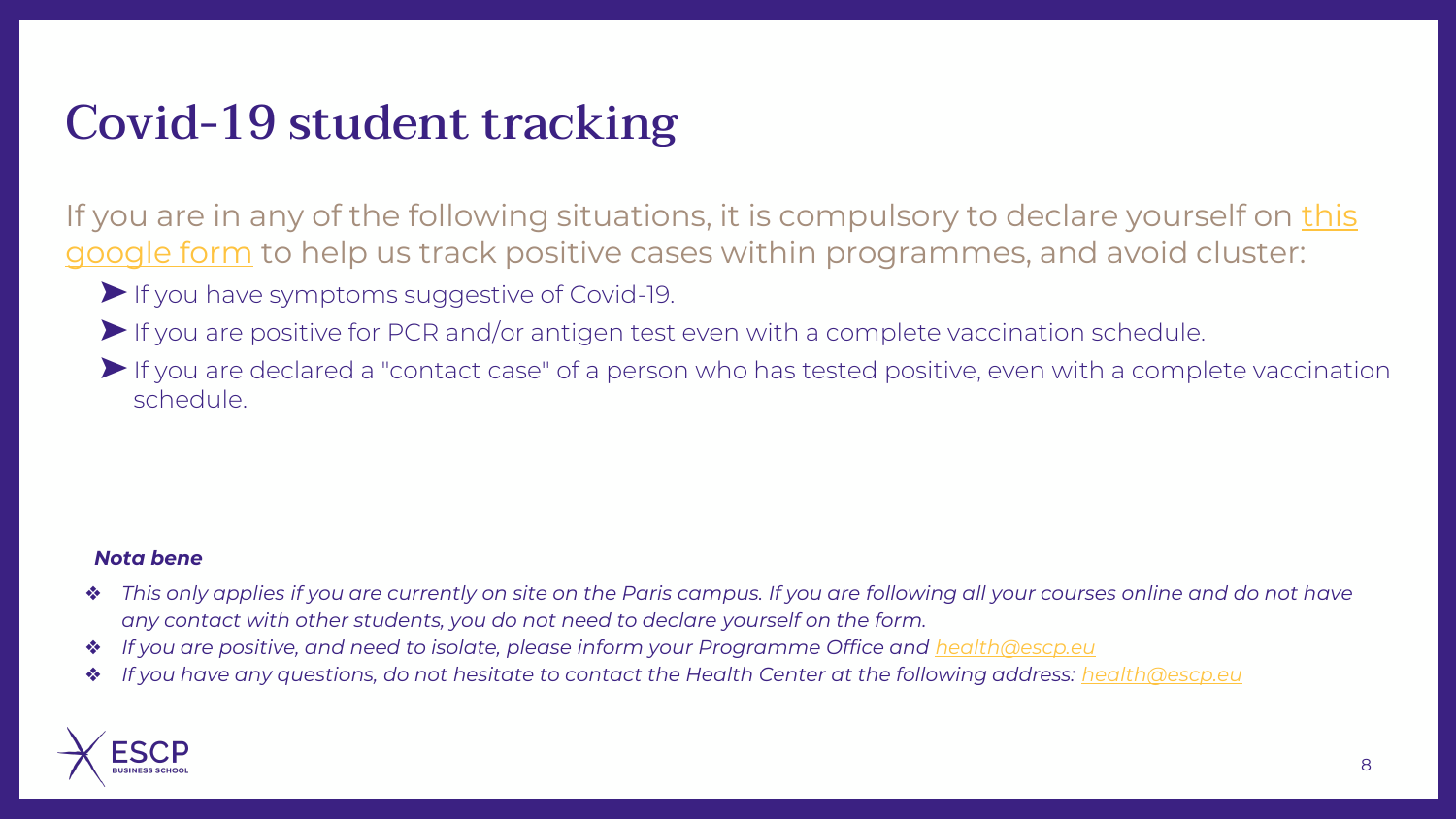### Covid-19 student tracking

[If you are in any of the following situations, it is compulsory to declare yourself on this](https://forms.gle/JBwcn6zT7P6N2t1s7) google form to help us track positive cases within programmes, and avoid cluster:

- ▶ If you have symptoms suggestive of Covid-19.
- ➤If you are positive for PCR and/or antigen test even with a complete vaccination schedule.
- ➤If you are declared a "contact case" of a person who has tested positive, even with a complete vaccination schedule.

#### *Nota bene*

- ❖ *This only applies if you are currently on site on the Paris campus. If you are following all your courses online and do not have any contact with other students, you do not need to declare yourself on the form.*
- ❖ *If you are positive, and need to isolate, please inform your Programme Office and [health@escp.eu](mailto:health@escp.eu)*
- ❖ *If you have any questions, do not hesitate to contact the Health Center at the following address: [health@escp.eu](mailto:health@escp.eu)*

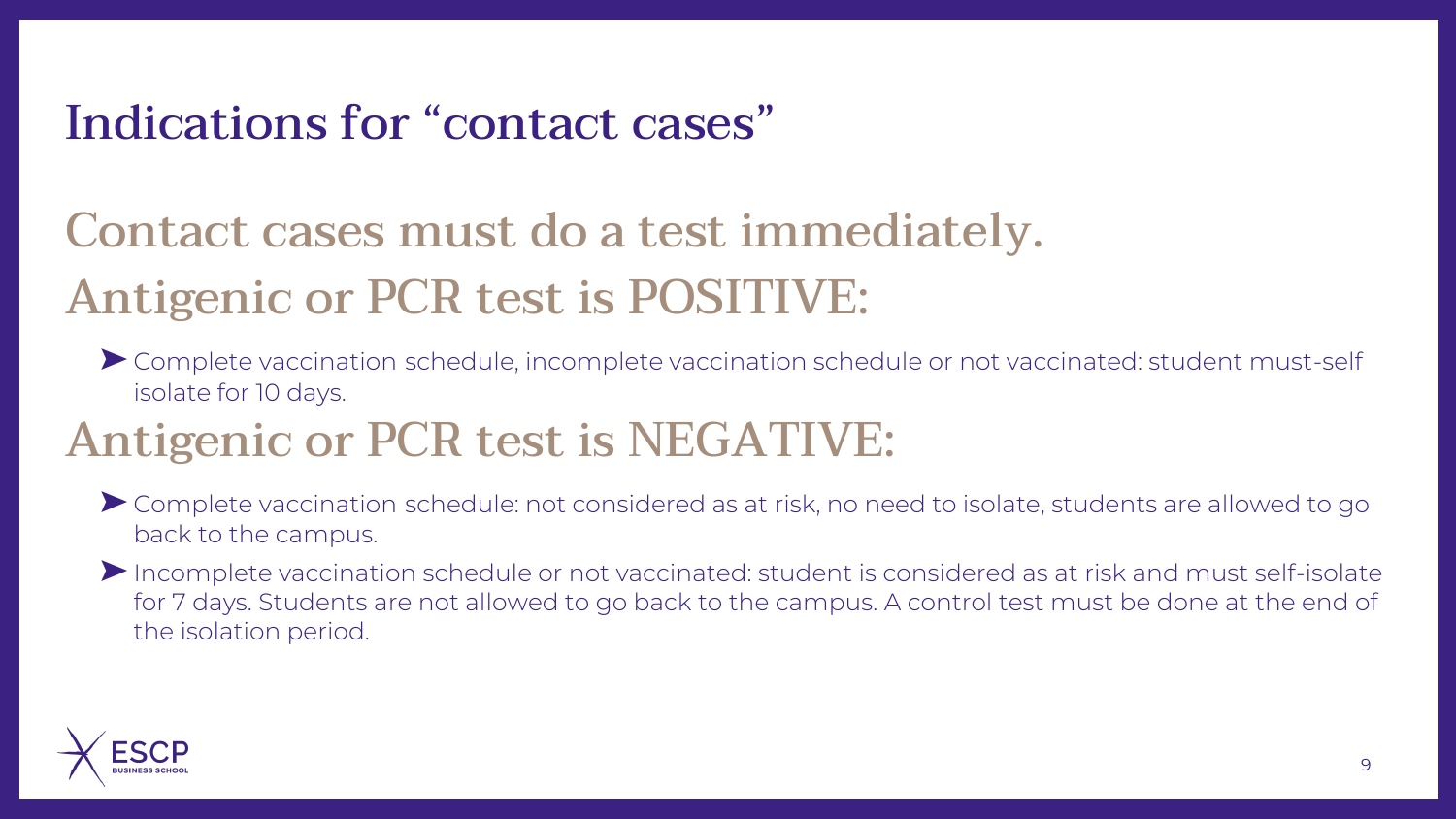### Indications for "contact cases"

## Contact cases must do a test immediately. Antigenic or PCR test is POSITIVE:

➤Complete vaccination schedule, incomplete vaccination schedule or not vaccinated: student must-self isolate for 10 days.

## Antigenic or PCR test is NEGATIVE:

- ➤Complete vaccination schedule: not considered as at risk, no need to isolate, students are allowed to go back to the campus.
- ➤Incomplete vaccination schedule or not vaccinated: student is considered as at risk and must self-isolate for 7 days. Students are not allowed to go back to the campus. A control test must be done at the end of the isolation period.